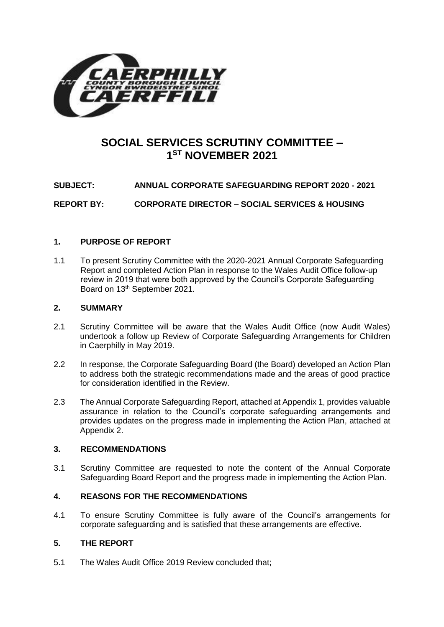

# **SOCIAL SERVICES SCRUTINY COMMITTEE – 1 ST NOVEMBER 2021**

**SUBJECT: ANNUAL CORPORATE SAFEGUARDING REPORT 2020 - 2021**

**REPORT BY: CORPORATE DIRECTOR – SOCIAL SERVICES & HOUSING**

### **1. PURPOSE OF REPORT**

1.1 To present Scrutiny Committee with the 2020-2021 Annual Corporate Safeguarding Report and completed Action Plan in response to the Wales Audit Office follow-up review in 2019 that were both approved by the Council's Corporate Safeguarding Board on 13th September 2021.

### **2. SUMMARY**

- 2.1 Scrutiny Committee will be aware that the Wales Audit Office (now Audit Wales) undertook a follow up Review of Corporate Safeguarding Arrangements for Children in Caerphilly in May 2019.
- 2.2 In response, the Corporate Safeguarding Board (the Board) developed an Action Plan to address both the strategic recommendations made and the areas of good practice for consideration identified in the Review.
- 2.3 The Annual Corporate Safeguarding Report, attached at Appendix 1, provides valuable assurance in relation to the Council's corporate safeguarding arrangements and provides updates on the progress made in implementing the Action Plan, attached at Appendix 2.

### **3. RECOMMENDATIONS**

3.1 Scrutiny Committee are requested to note the content of the Annual Corporate Safeguarding Board Report and the progress made in implementing the Action Plan.

### **4. REASONS FOR THE RECOMMENDATIONS**

4.1 To ensure Scrutiny Committee is fully aware of the Council's arrangements for corporate safeguarding and is satisfied that these arrangements are effective.

### **5. THE REPORT**

5.1 The Wales Audit Office 2019 Review concluded that;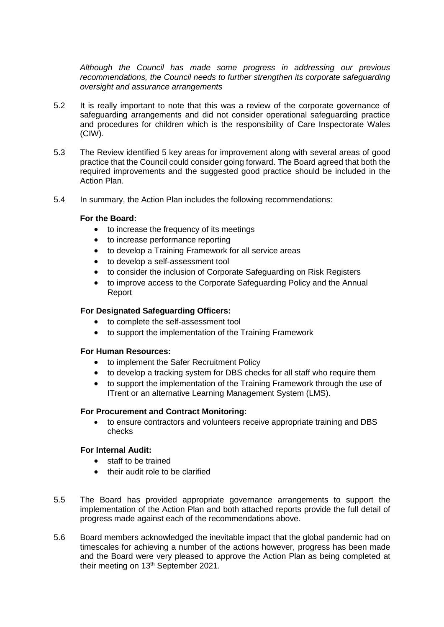*Although the Council has made some progress in addressing our previous recommendations, the Council needs to further strengthen its corporate safeguarding oversight and assurance arrangements*

- 5.2 It is really important to note that this was a review of the corporate governance of safeguarding arrangements and did not consider operational safeguarding practice and procedures for children which is the responsibility of Care Inspectorate Wales (CIW).
- 5.3 The Review identified 5 key areas for improvement along with several areas of good practice that the Council could consider going forward. The Board agreed that both the required improvements and the suggested good practice should be included in the Action Plan.
- 5.4 In summary, the Action Plan includes the following recommendations:

### **For the Board:**

- to increase the frequency of its meetings
- to increase performance reporting
- to develop a Training Framework for all service areas
- to develop a self-assessment tool
- to consider the inclusion of Corporate Safeguarding on Risk Registers
- to improve access to the Corporate Safeguarding Policy and the Annual Report

### **For Designated Safeguarding Officers:**

- to complete the self-assessment tool
- to support the implementation of the Training Framework

### **For Human Resources:**

- to implement the Safer Recruitment Policy
- to develop a tracking system for DBS checks for all staff who require them
- to support the implementation of the Training Framework through the use of ITrent or an alternative Learning Management System (LMS).

### **For Procurement and Contract Monitoring:**

 to ensure contractors and volunteers receive appropriate training and DBS checks

### **For Internal Audit:**

- staff to be trained
- their audit role to be clarified
- 5.5 The Board has provided appropriate governance arrangements to support the implementation of the Action Plan and both attached reports provide the full detail of progress made against each of the recommendations above.
- 5.6 Board members acknowledged the inevitable impact that the global pandemic had on timescales for achieving a number of the actions however, progress has been made and the Board were very pleased to approve the Action Plan as being completed at their meeting on 13<sup>th</sup> September 2021.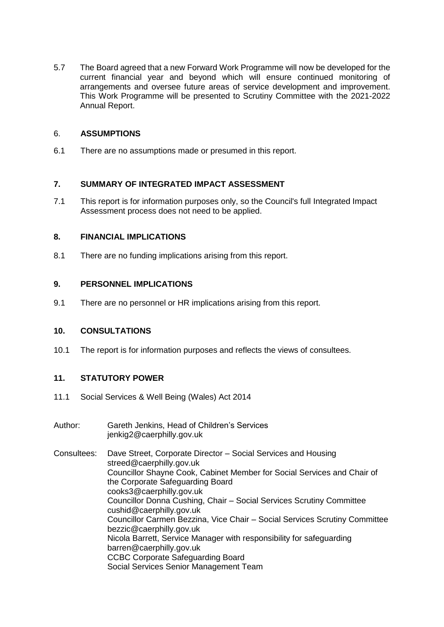5.7 The Board agreed that a new Forward Work Programme will now be developed for the current financial year and beyond which will ensure continued monitoring of arrangements and oversee future areas of service development and improvement. This Work Programme will be presented to Scrutiny Committee with the 2021-2022 Annual Report.

### 6. **ASSUMPTIONS**

6.1 There are no assumptions made or presumed in this report.

## **7. SUMMARY OF INTEGRATED IMPACT ASSESSMENT**

7.1 This report is for information purposes only, so the Council's full Integrated Impact Assessment process does not need to be applied.

## **8. FINANCIAL IMPLICATIONS**

8.1 There are no funding implications arising from this report.

## **9. PERSONNEL IMPLICATIONS**

9.1 There are no personnel or HR implications arising from this report.

### **10. CONSULTATIONS**

10.1 The report is for information purposes and reflects the views of consultees.

# **11. STATUTORY POWER**

- 11.1 Social Services & Well Being (Wales) Act 2014
- Author: Gareth Jenkins, Head of Children's Services [jenkig2@caerphilly.gov.uk](mailto:jenkig2@caerphilly.gov.uk)
- Consultees: Dave Street, Corporate Director Social Services and Housing [streed@caerphilly.gov.uk](mailto:streed@caerphilly.gov.uk) Councillor Shayne Cook, Cabinet Member for Social Services and Chair of the Corporate Safeguarding Board [cooks3@caerphilly.gov.uk](mailto:cooks3@caerphilly.gov.uk) Councillor Donna Cushing, Chair – Social Services Scrutiny Committee [cushid@caerphilly.gov.uk](mailto:cushid@caerphilly.gov.uk) Councillor Carmen Bezzina, Vice Chair – Social Services Scrutiny Committee bezzic@caerphilly.gov.uk Nicola Barrett, Service Manager with responsibility for safeguarding [barren@caerphilly.gov.uk](mailto:barren@caerphilly.gov.uk) CCBC Corporate Safeguarding Board Social Services Senior Management Team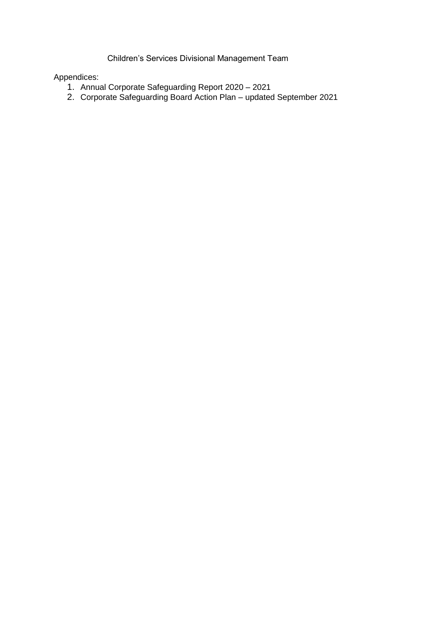Children's Services Divisional Management Team

# Appendices:

- 1. Annual Corporate Safeguarding Report 2020 2021
- 2. Corporate Safeguarding Board Action Plan updated September 2021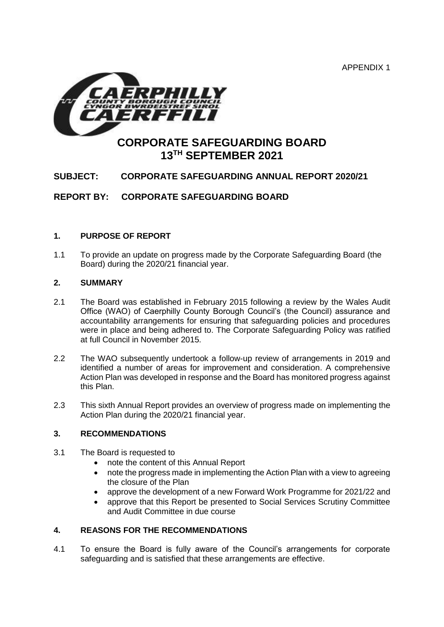APPENDIX 1



# **CORPORATE SAFEGUARDING BOARD 13TH SEPTEMBER 2021**

# **SUBJECT: CORPORATE SAFEGUARDING ANNUAL REPORT 2020/21**

**REPORT BY: CORPORATE SAFEGUARDING BOARD**

## **1. PURPOSE OF REPORT**

1.1 To provide an update on progress made by the Corporate Safeguarding Board (the Board) during the 2020/21 financial year.

### **2. SUMMARY**

- 2.1 The Board was established in February 2015 following a review by the Wales Audit Office (WAO) of Caerphilly County Borough Council's (the Council) assurance and accountability arrangements for ensuring that safeguarding policies and procedures were in place and being adhered to. The Corporate Safeguarding Policy was ratified at full Council in November 2015.
- 2.2 The WAO subsequently undertook a follow-up review of arrangements in 2019 and identified a number of areas for improvement and consideration. A comprehensive Action Plan was developed in response and the Board has monitored progress against this Plan.
- 2.3 This sixth Annual Report provides an overview of progress made on implementing the Action Plan during the 2020/21 financial year.

### **3. RECOMMENDATIONS**

- 3.1 The Board is requested to
	- note the content of this Annual Report
	- note the progress made in implementing the Action Plan with a view to agreeing the closure of the Plan
	- approve the development of a new Forward Work Programme for 2021/22 and
	- approve that this Report be presented to Social Services Scrutiny Committee and Audit Committee in due course

### **4. REASONS FOR THE RECOMMENDATIONS**

4.1 To ensure the Board is fully aware of the Council's arrangements for corporate safeguarding and is satisfied that these arrangements are effective.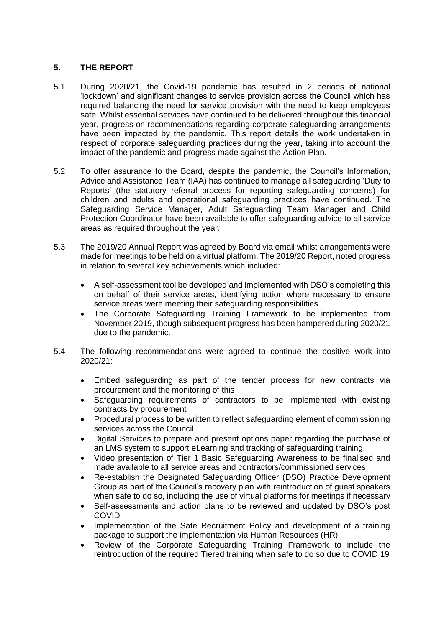# **5. THE REPORT**

- 5.1 During 2020/21, the Covid-19 pandemic has resulted in 2 periods of national 'lockdown' and significant changes to service provision across the Council which has required balancing the need for service provision with the need to keep employees safe. Whilst essential services have continued to be delivered throughout this financial year, progress on recommendations regarding corporate safeguarding arrangements have been impacted by the pandemic. This report details the work undertaken in respect of corporate safeguarding practices during the year, taking into account the impact of the pandemic and progress made against the Action Plan.
- 5.2 To offer assurance to the Board, despite the pandemic, the Council's Information, Advice and Assistance Team (IAA) has continued to manage all safeguarding 'Duty to Reports' (the statutory referral process for reporting safeguarding concerns) for children and adults and operational safeguarding practices have continued. The Safeguarding Service Manager, Adult Safeguarding Team Manager and Child Protection Coordinator have been available to offer safeguarding advice to all service areas as required throughout the year.
- 5.3 The 2019/20 Annual Report was agreed by Board via email whilst arrangements were made for meetings to be held on a virtual platform. The 2019/20 Report, noted progress in relation to several key achievements which included:
	- A self-assessment tool be developed and implemented with DSO's completing this on behalf of their service areas, identifying action where necessary to ensure service areas were meeting their safeguarding responsibilities
	- The Corporate Safeguarding Training Framework to be implemented from November 2019, though subsequent progress has been hampered during 2020/21 due to the pandemic.
- 5.4 The following recommendations were agreed to continue the positive work into 2020/21:
	- Embed safeguarding as part of the tender process for new contracts via procurement and the monitoring of this
	- Safeguarding requirements of contractors to be implemented with existing contracts by procurement
	- Procedural process to be written to reflect safeguarding element of commissioning services across the Council
	- Digital Services to prepare and present options paper regarding the purchase of an LMS system to support eLearning and tracking of safeguarding training,
	- Video presentation of Tier 1 Basic Safeguarding Awareness to be finalised and made available to all service areas and contractors/commissioned services
	- Re-establish the Designated Safeguarding Officer (DSO) Practice Development Group as part of the Council's recovery plan with reintroduction of guest speakers when safe to do so, including the use of virtual platforms for meetings if necessary
	- Self-assessments and action plans to be reviewed and updated by DSO's post COVID
	- Implementation of the Safe Recruitment Policy and development of a training package to support the implementation via Human Resources (HR).
	- Review of the Corporate Safeguarding Training Framework to include the reintroduction of the required Tiered training when safe to do so due to COVID 19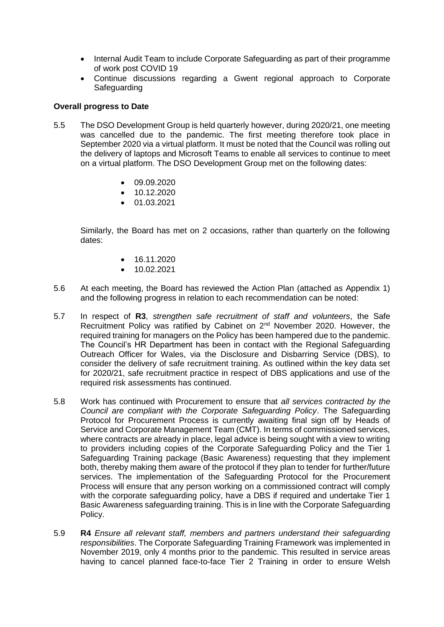- Internal Audit Team to include Corporate Safeguarding as part of their programme of work post COVID 19
- Continue discussions regarding a Gwent regional approach to Corporate **Safeguarding**

### **Overall progress to Date**

- 5.5 The DSO Development Group is held quarterly however, during 2020/21, one meeting was cancelled due to the pandemic. The first meeting therefore took place in September 2020 via a virtual platform. It must be noted that the Council was rolling out the delivery of laptops and Microsoft Teams to enable all services to continue to meet on a virtual platform. The DSO Development Group met on the following dates:
	- $\bullet$  09.09.2020
	- $\bullet$  10.12.2020
	- 01.03.2021

Similarly, the Board has met on 2 occasions, rather than quarterly on the following dates:

- $\bullet$  16.11.2020
- $\bullet$  10.02.2021
- 5.6 At each meeting, the Board has reviewed the Action Plan (attached as Appendix 1) and the following progress in relation to each recommendation can be noted:
- 5.7 In respect of **R3**, *strengthen safe recruitment of staff and volunteers*, the Safe Recruitment Policy was ratified by Cabinet on 2<sup>nd</sup> November 2020. However, the required training for managers on the Policy has been hampered due to the pandemic. The Council's HR Department has been in contact with the Regional Safeguarding Outreach Officer for Wales, via the Disclosure and Disbarring Service (DBS), to consider the delivery of safe recruitment training. As outlined within the key data set for 2020/21, safe recruitment practice in respect of DBS applications and use of the required risk assessments has continued.
- 5.8 Work has continued with Procurement to ensure that *all services contracted by the Council are compliant with the Corporate Safeguarding Policy*. The Safeguarding Protocol for Procurement Process is currently awaiting final sign off by Heads of Service and Corporate Management Team (CMT). In terms of commissioned services, where contracts are already in place, legal advice is being sought with a view to writing to providers including copies of the Corporate Safeguarding Policy and the Tier 1 Safeguarding Training package (Basic Awareness) requesting that they implement both, thereby making them aware of the protocol if they plan to tender for further/future services. The implementation of the Safeguarding Protocol for the Procurement Process will ensure that any person working on a commissioned contract will comply with the corporate safeguarding policy, have a DBS if required and undertake Tier 1 Basic Awareness safeguarding training. This is in line with the Corporate Safeguarding Policy.
- 5.9 **R4** *Ensure all relevant staff, members and partners understand their safeguarding responsibilities*. The Corporate Safeguarding Training Framework was implemented in November 2019, only 4 months prior to the pandemic. This resulted in service areas having to cancel planned face-to-face Tier 2 Training in order to ensure Welsh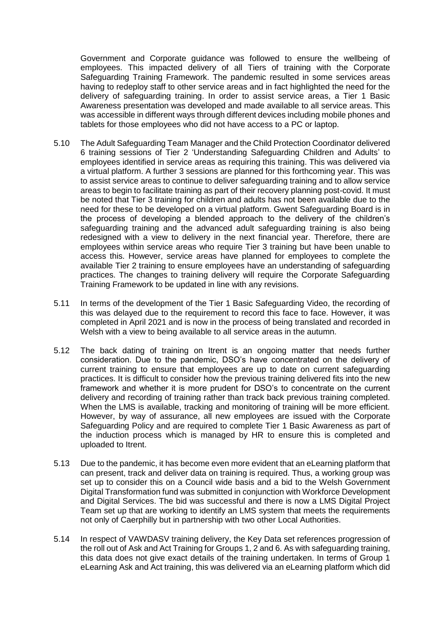Government and Corporate guidance was followed to ensure the wellbeing of employees. This impacted delivery of all Tiers of training with the Corporate Safeguarding Training Framework. The pandemic resulted in some services areas having to redeploy staff to other service areas and in fact highlighted the need for the delivery of safeguarding training. In order to assist service areas, a Tier 1 Basic Awareness presentation was developed and made available to all service areas. This was accessible in different ways through different devices including mobile phones and tablets for those employees who did not have access to a PC or laptop.

- 5.10 The Adult Safeguarding Team Manager and the Child Protection Coordinator delivered 6 training sessions of Tier 2 'Understanding Safeguarding Children and Adults' to employees identified in service areas as requiring this training. This was delivered via a virtual platform. A further 3 sessions are planned for this forthcoming year. This was to assist service areas to continue to deliver safeguarding training and to allow service areas to begin to facilitate training as part of their recovery planning post-covid. It must be noted that Tier 3 training for children and adults has not been available due to the need for these to be developed on a virtual platform. Gwent Safeguarding Board is in the process of developing a blended approach to the delivery of the children's safeguarding training and the advanced adult safeguarding training is also being redesigned with a view to delivery in the next financial year. Therefore, there are employees within service areas who require Tier 3 training but have been unable to access this. However, service areas have planned for employees to complete the available Tier 2 training to ensure employees have an understanding of safeguarding practices. The changes to training delivery will require the Corporate Safeguarding Training Framework to be updated in line with any revisions.
- 5.11 In terms of the development of the Tier 1 Basic Safeguarding Video, the recording of this was delayed due to the requirement to record this face to face. However, it was completed in April 2021 and is now in the process of being translated and recorded in Welsh with a view to being available to all service areas in the autumn.
- 5.12 The back dating of training on Itrent is an ongoing matter that needs further consideration. Due to the pandemic, DSO's have concentrated on the delivery of current training to ensure that employees are up to date on current safeguarding practices. It is difficult to consider how the previous training delivered fits into the new framework and whether it is more prudent for DSO's to concentrate on the current delivery and recording of training rather than track back previous training completed. When the LMS is available, tracking and monitoring of training will be more efficient. However, by way of assurance, all new employees are issued with the Corporate Safeguarding Policy and are required to complete Tier 1 Basic Awareness as part of the induction process which is managed by HR to ensure this is completed and uploaded to Itrent.
- 5.13 Due to the pandemic, it has become even more evident that an eLearning platform that can present, track and deliver data on training is required. Thus, a working group was set up to consider this on a Council wide basis and a bid to the Welsh Government Digital Transformation fund was submitted in conjunction with Workforce Development and Digital Services. The bid was successful and there is now a LMS Digital Project Team set up that are working to identify an LMS system that meets the requirements not only of Caerphilly but in partnership with two other Local Authorities.
- 5.14 In respect of VAWDASV training delivery, the Key Data set references progression of the roll out of Ask and Act Training for Groups 1, 2 and 6. As with safeguarding training, this data does not give exact details of the training undertaken. In terms of Group 1 eLearning Ask and Act training, this was delivered via an eLearning platform which did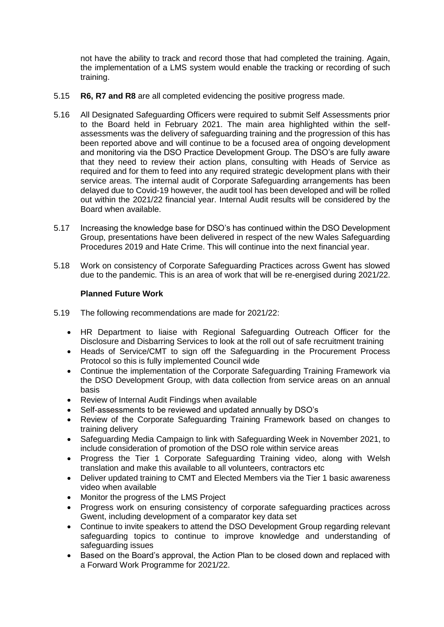not have the ability to track and record those that had completed the training. Again, the implementation of a LMS system would enable the tracking or recording of such training.

- 5.15 **R6, R7 and R8** are all completed evidencing the positive progress made.
- 5.16 All Designated Safeguarding Officers were required to submit Self Assessments prior to the Board held in February 2021. The main area highlighted within the selfassessments was the delivery of safeguarding training and the progression of this has been reported above and will continue to be a focused area of ongoing development and monitoring via the DSO Practice Development Group. The DSO's are fully aware that they need to review their action plans, consulting with Heads of Service as required and for them to feed into any required strategic development plans with their service areas. The internal audit of Corporate Safeguarding arrangements has been delayed due to Covid-19 however, the audit tool has been developed and will be rolled out within the 2021/22 financial year. Internal Audit results will be considered by the Board when available.
- 5.17 Increasing the knowledge base for DSO's has continued within the DSO Development Group, presentations have been delivered in respect of the new Wales Safeguarding Procedures 2019 and Hate Crime. This will continue into the next financial year.
- 5.18 Work on consistency of Corporate Safeguarding Practices across Gwent has slowed due to the pandemic. This is an area of work that will be re-energised during 2021/22.

## **Planned Future Work**

- 5.19 The following recommendations are made for 2021/22:
	- HR Department to liaise with Regional Safeguarding Outreach Officer for the Disclosure and Disbarring Services to look at the roll out of safe recruitment training
	- Heads of Service/CMT to sign off the Safeguarding in the Procurement Process Protocol so this is fully implemented Council wide
	- Continue the implementation of the Corporate Safeguarding Training Framework via the DSO Development Group, with data collection from service areas on an annual basis
	- Review of Internal Audit Findings when available
	- Self-assessments to be reviewed and updated annually by DSO's
	- Review of the Corporate Safeguarding Training Framework based on changes to training delivery
	- Safeguarding Media Campaign to link with Safeguarding Week in November 2021, to include consideration of promotion of the DSO role within service areas
	- Progress the Tier 1 Corporate Safeguarding Training video, along with Welsh translation and make this available to all volunteers, contractors etc
	- Deliver updated training to CMT and Elected Members via the Tier 1 basic awareness video when available
	- Monitor the progress of the LMS Project
	- Progress work on ensuring consistency of corporate safeguarding practices across Gwent, including development of a comparator key data set
	- Continue to invite speakers to attend the DSO Development Group regarding relevant safeguarding topics to continue to improve knowledge and understanding of safeguarding issues
	- Based on the Board's approval, the Action Plan to be closed down and replaced with a Forward Work Programme for 2021/22.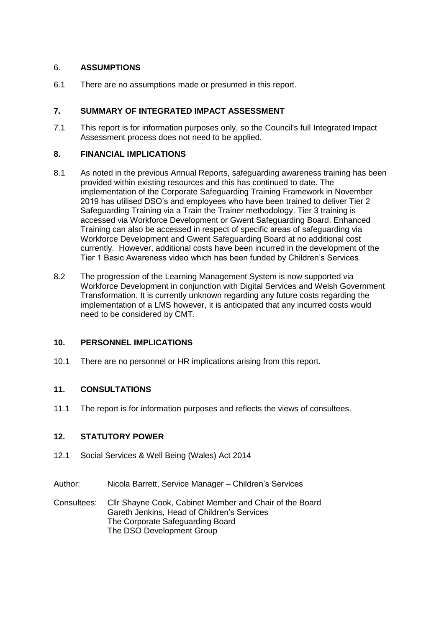## 6. **ASSUMPTIONS**

6.1 There are no assumptions made or presumed in this report.

# **7. SUMMARY OF INTEGRATED IMPACT ASSESSMENT**

7.1 This report is for information purposes only, so the Council's full Integrated Impact Assessment process does not need to be applied.

## **8. FINANCIAL IMPLICATIONS**

- 8.1 As noted in the previous Annual Reports, safeguarding awareness training has been provided within existing resources and this has continued to date. The implementation of the Corporate Safeguarding Training Framework in November 2019 has utilised DSO's and employees who have been trained to deliver Tier 2 Safeguarding Training via a Train the Trainer methodology. Tier 3 training is accessed via Workforce Development or Gwent Safeguarding Board. Enhanced Training can also be accessed in respect of specific areas of safeguarding via Workforce Development and Gwent Safeguarding Board at no additional cost currently. However, additional costs have been incurred in the development of the Tier 1 Basic Awareness video which has been funded by Children's Services.
- 8.2 The progression of the Learning Management System is now supported via Workforce Development in conjunction with Digital Services and Welsh Government Transformation. It is currently unknown regarding any future costs regarding the implementation of a LMS however, it is anticipated that any incurred costs would need to be considered by CMT.

# **10. PERSONNEL IMPLICATIONS**

10.1 There are no personnel or HR implications arising from this report.

# **11. CONSULTATIONS**

11.1 The report is for information purposes and reflects the views of consultees.

# **12. STATUTORY POWER**

- 12.1 Social Services & Well Being (Wales) Act 2014
- Author: Nicola Barrett, Service Manager Children's Services

Consultees: Cllr Shayne Cook, Cabinet Member and Chair of the Board Gareth Jenkins, Head of Children's Services The Corporate Safeguarding Board The DSO Development Group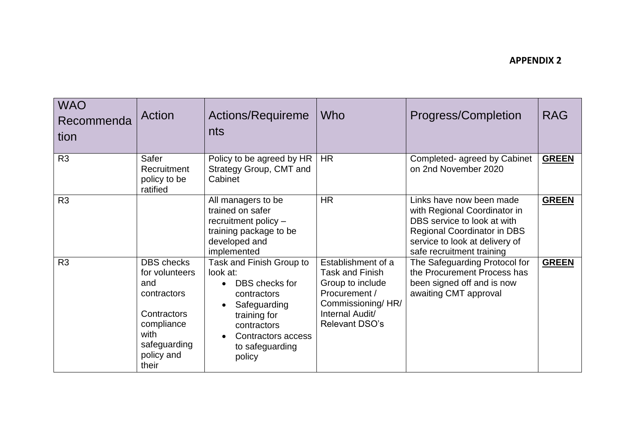| <b>WAO</b><br>Recommenda<br>tion | <b>Action</b>                                                                                                                         | Actions/Requireme<br>nts                                                                                                                                                | Who                                                                                                                                                | Progress/Completion                                                                                                                                                                   | <b>RAG</b>   |
|----------------------------------|---------------------------------------------------------------------------------------------------------------------------------------|-------------------------------------------------------------------------------------------------------------------------------------------------------------------------|----------------------------------------------------------------------------------------------------------------------------------------------------|---------------------------------------------------------------------------------------------------------------------------------------------------------------------------------------|--------------|
| R <sub>3</sub>                   | Safer<br>Recruitment<br>policy to be<br>ratified                                                                                      | Policy to be agreed by HR<br>Strategy Group, CMT and<br>Cabinet                                                                                                         | <b>HR</b>                                                                                                                                          | Completed- agreed by Cabinet<br>on 2nd November 2020                                                                                                                                  | <b>GREEN</b> |
| R <sub>3</sub>                   |                                                                                                                                       | All managers to be<br>trained on safer<br>recruitment policy -<br>training package to be<br>developed and<br>implemented                                                | <b>HR</b>                                                                                                                                          | Links have now been made<br>with Regional Coordinator in<br>DBS service to look at with<br>Regional Coordinator in DBS<br>service to look at delivery of<br>safe recruitment training | <b>GREEN</b> |
| R <sub>3</sub>                   | <b>DBS</b> checks<br>for volunteers<br>and<br>contractors<br>Contractors<br>compliance<br>with<br>safeguarding<br>policy and<br>their | Task and Finish Group to<br>look at:<br>DBS checks for<br>contractors<br>Safeguarding<br>training for<br>contractors<br>Contractors access<br>to safeguarding<br>policy | Establishment of a<br><b>Task and Finish</b><br>Group to include<br>Procurement /<br>Commissioning/HR/<br>Internal Audit/<br><b>Relevant DSO's</b> | The Safeguarding Protocol for<br>the Procurement Process has<br>been signed off and is now<br>awaiting CMT approval                                                                   | <b>GREEN</b> |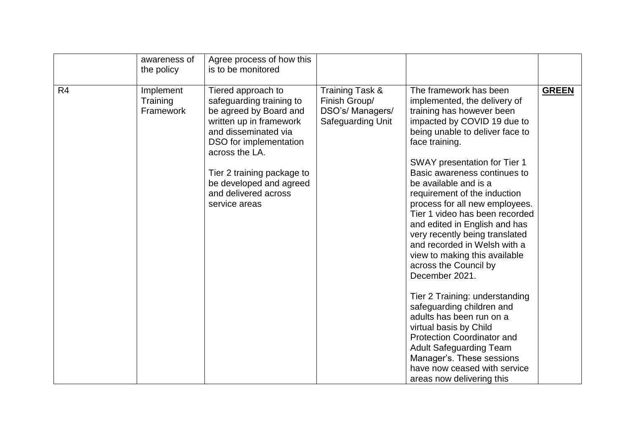|                | awareness of<br>the policy         | Agree process of how this<br>is to be monitored                                                                                                                                                                                                                           |                                                                           |                                                                                                                                                                                                                                                                                                                                                                                                                                                                                                                                                                                                                                                                                                                                                                                                                                           |              |
|----------------|------------------------------------|---------------------------------------------------------------------------------------------------------------------------------------------------------------------------------------------------------------------------------------------------------------------------|---------------------------------------------------------------------------|-------------------------------------------------------------------------------------------------------------------------------------------------------------------------------------------------------------------------------------------------------------------------------------------------------------------------------------------------------------------------------------------------------------------------------------------------------------------------------------------------------------------------------------------------------------------------------------------------------------------------------------------------------------------------------------------------------------------------------------------------------------------------------------------------------------------------------------------|--------------|
| R <sub>4</sub> | Implement<br>Training<br>Framework | Tiered approach to<br>safeguarding training to<br>be agreed by Board and<br>written up in framework<br>and disseminated via<br>DSO for implementation<br>across the LA.<br>Tier 2 training package to<br>be developed and agreed<br>and delivered across<br>service areas | Training Task &<br>Finish Group/<br>DSO's/ Managers/<br>Safeguarding Unit | The framework has been<br>implemented, the delivery of<br>training has however been<br>impacted by COVID 19 due to<br>being unable to deliver face to<br>face training.<br>SWAY presentation for Tier 1<br>Basic awareness continues to<br>be available and is a<br>requirement of the induction<br>process for all new employees.<br>Tier 1 video has been recorded<br>and edited in English and has<br>very recently being translated<br>and recorded in Welsh with a<br>view to making this available<br>across the Council by<br>December 2021.<br>Tier 2 Training: understanding<br>safeguarding children and<br>adults has been run on a<br>virtual basis by Child<br><b>Protection Coordinator and</b><br><b>Adult Safeguarding Team</b><br>Manager's. These sessions<br>have now ceased with service<br>areas now delivering this | <b>GREEN</b> |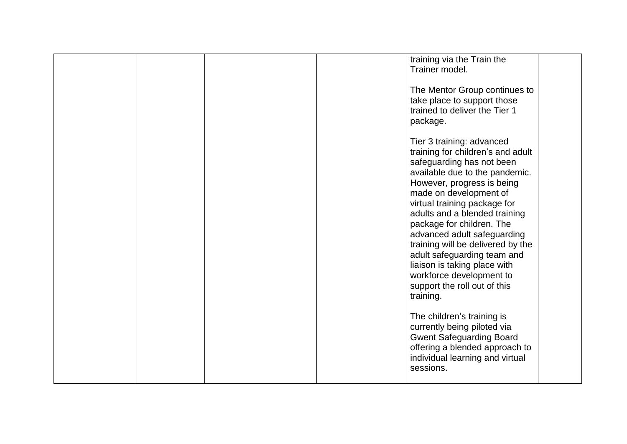|  |  | training via the Train the<br>Trainer model.                                                                                                                                                                                                                                                                                                                                                                                                                                                    |  |
|--|--|-------------------------------------------------------------------------------------------------------------------------------------------------------------------------------------------------------------------------------------------------------------------------------------------------------------------------------------------------------------------------------------------------------------------------------------------------------------------------------------------------|--|
|  |  | The Mentor Group continues to<br>take place to support those<br>trained to deliver the Tier 1<br>package.                                                                                                                                                                                                                                                                                                                                                                                       |  |
|  |  | Tier 3 training: advanced<br>training for children's and adult<br>safeguarding has not been<br>available due to the pandemic.<br>However, progress is being<br>made on development of<br>virtual training package for<br>adults and a blended training<br>package for children. The<br>advanced adult safeguarding<br>training will be delivered by the<br>adult safeguarding team and<br>liaison is taking place with<br>workforce development to<br>support the roll out of this<br>training. |  |
|  |  | The children's training is<br>currently being piloted via<br><b>Gwent Safeguarding Board</b><br>offering a blended approach to<br>individual learning and virtual<br>sessions.                                                                                                                                                                                                                                                                                                                  |  |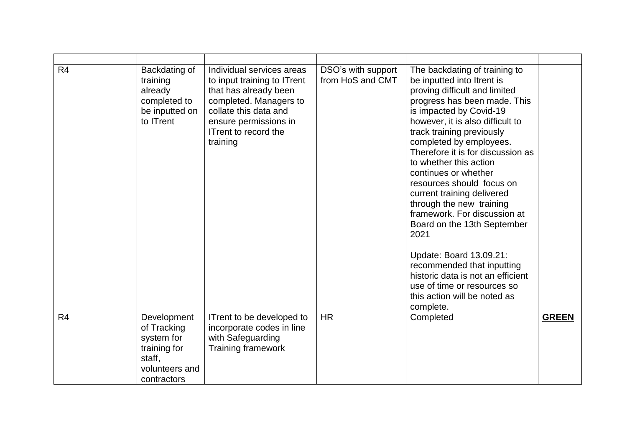| R <sub>4</sub> | Backdating of<br>training<br>already<br>completed to<br>be inputted on<br>to ITrent                 | Individual services areas<br>to input training to ITrent<br>that has already been<br>completed. Managers to<br>collate this data and<br>ensure permissions in<br>ITrent to record the<br>training | DSO's with support<br>from HoS and CMT | The backdating of training to<br>be inputted into Itrent is<br>proving difficult and limited<br>progress has been made. This<br>is impacted by Covid-19<br>however, it is also difficult to<br>track training previously<br>completed by employees.<br>Therefore it is for discussion as<br>to whether this action<br>continues or whether<br>resources should focus on<br>current training delivered<br>through the new training<br>framework. For discussion at<br>Board on the 13th September<br>2021<br>Update: Board 13.09.21:<br>recommended that inputting<br>historic data is not an efficient<br>use of time or resources so<br>this action will be noted as<br>complete. |              |
|----------------|-----------------------------------------------------------------------------------------------------|---------------------------------------------------------------------------------------------------------------------------------------------------------------------------------------------------|----------------------------------------|------------------------------------------------------------------------------------------------------------------------------------------------------------------------------------------------------------------------------------------------------------------------------------------------------------------------------------------------------------------------------------------------------------------------------------------------------------------------------------------------------------------------------------------------------------------------------------------------------------------------------------------------------------------------------------|--------------|
| R <sub>4</sub> | Development<br>of Tracking<br>system for<br>training for<br>staff,<br>volunteers and<br>contractors | ITrent to be developed to<br>incorporate codes in line<br>with Safeguarding<br><b>Training framework</b>                                                                                          | <b>HR</b>                              | Completed                                                                                                                                                                                                                                                                                                                                                                                                                                                                                                                                                                                                                                                                          | <b>GREEN</b> |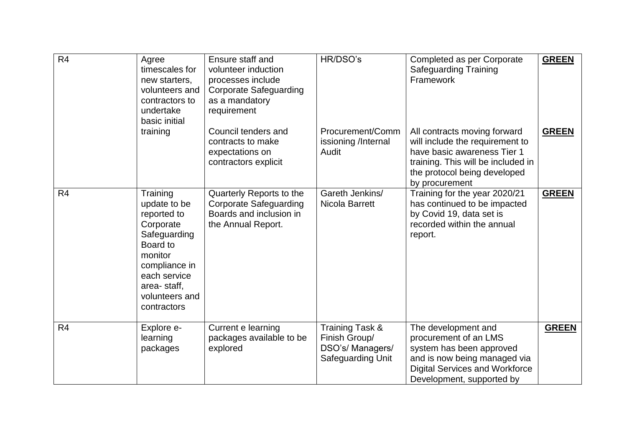| R4             | Agree<br>timescales for<br>new starters,<br>volunteers and<br>contractors to<br>undertake<br>basic initial                                                                   | Ensure staff and<br>volunteer induction<br>processes include<br><b>Corporate Safeguarding</b><br>as a mandatory<br>requirement | HR/DSO's                                                                         | Completed as per Corporate<br><b>Safeguarding Training</b><br>Framework                                                                                                                | <b>GREEN</b> |
|----------------|------------------------------------------------------------------------------------------------------------------------------------------------------------------------------|--------------------------------------------------------------------------------------------------------------------------------|----------------------------------------------------------------------------------|----------------------------------------------------------------------------------------------------------------------------------------------------------------------------------------|--------------|
|                | training                                                                                                                                                                     | Council tenders and<br>contracts to make<br>expectations on<br>contractors explicit                                            | Procurement/Comm<br>issioning /Internal<br>Audit                                 | All contracts moving forward<br>will include the requirement to<br>have basic awareness Tier 1<br>training. This will be included in<br>the protocol being developed<br>by procurement | <b>GREEN</b> |
| R <sub>4</sub> | Training<br>update to be<br>reported to<br>Corporate<br>Safeguarding<br>Board to<br>monitor<br>compliance in<br>each service<br>area-staff,<br>volunteers and<br>contractors | Quarterly Reports to the<br><b>Corporate Safeguarding</b><br>Boards and inclusion in<br>the Annual Report.                     | Gareth Jenkins/<br>Nicola Barrett                                                | Training for the year 2020/21<br>has continued to be impacted<br>by Covid 19, data set is<br>recorded within the annual<br>report.                                                     | <b>GREEN</b> |
| R <sub>4</sub> | Explore e-<br>learning<br>packages                                                                                                                                           | Current e learning<br>packages available to be<br>explored                                                                     | Training Task &<br>Finish Group/<br>DSO's/ Managers/<br><b>Safequarding Unit</b> | The development and<br>procurement of an LMS<br>system has been approved<br>and is now being managed via<br><b>Digital Services and Workforce</b><br>Development, supported by         | <b>GREEN</b> |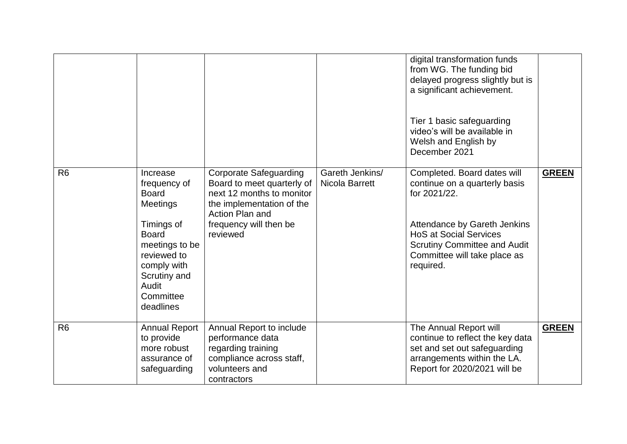| R <sub>6</sub> | <b>Annual Report</b><br>to provide<br>more robust<br>assurance of<br>safeguarding                                                                                                | Annual Report to include<br>performance data<br>regarding training<br>compliance across staff,<br>volunteers and<br>contractors               |                 | The Annual Report will<br>continue to reflect the key data<br>set and set out safeguarding<br>arrangements within the LA.<br>Report for 2020/2021 will be                                                                                                       | <b>GREEN</b> |
|----------------|----------------------------------------------------------------------------------------------------------------------------------------------------------------------------------|-----------------------------------------------------------------------------------------------------------------------------------------------|-----------------|-----------------------------------------------------------------------------------------------------------------------------------------------------------------------------------------------------------------------------------------------------------------|--------------|
|                | frequency of<br><b>Board</b><br><b>Meetings</b><br>Timings of<br><b>Board</b><br>meetings to be<br>reviewed to<br>comply with<br>Scrutiny and<br>Audit<br>Committee<br>deadlines | Board to meet quarterly of<br>next 12 months to monitor<br>the implementation of the<br>Action Plan and<br>frequency will then be<br>reviewed | Nicola Barrett  | continue on a quarterly basis<br>for 2021/22.<br>Attendance by Gareth Jenkins<br><b>HoS at Social Services</b><br><b>Scrutiny Committee and Audit</b><br>Committee will take place as<br>required.                                                              |              |
| R <sub>6</sub> | Increase                                                                                                                                                                         | <b>Corporate Safeguarding</b>                                                                                                                 | Gareth Jenkins/ | digital transformation funds<br>from WG. The funding bid<br>delayed progress slightly but is<br>a significant achievement.<br>Tier 1 basic safeguarding<br>video's will be available in<br>Welsh and English by<br>December 2021<br>Completed. Board dates will | <b>GREEN</b> |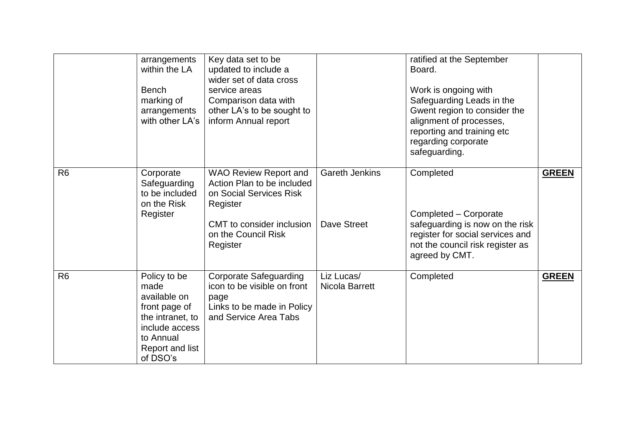|                | arrangements<br>within the LA<br><b>Bench</b><br>marking of<br>arrangements<br>with other LA's                                          | Key data set to be<br>updated to include a<br>wider set of data cross<br>service areas<br>Comparison data with<br>other LA's to be sought to<br>inform Annual report |                                      | ratified at the September<br>Board.<br>Work is ongoing with<br>Safeguarding Leads in the<br>Gwent region to consider the<br>alignment of processes,<br>reporting and training etc<br>regarding corporate<br>safeguarding. |              |
|----------------|-----------------------------------------------------------------------------------------------------------------------------------------|----------------------------------------------------------------------------------------------------------------------------------------------------------------------|--------------------------------------|---------------------------------------------------------------------------------------------------------------------------------------------------------------------------------------------------------------------------|--------------|
| R <sub>6</sub> | Corporate<br>Safeguarding<br>to be included<br>on the Risk<br>Register                                                                  | <b>WAO Review Report and</b><br>Action Plan to be included<br>on Social Services Risk<br>Register<br>CMT to consider inclusion<br>on the Council Risk<br>Register    | <b>Gareth Jenkins</b><br>Dave Street | Completed<br>Completed - Corporate<br>safeguarding is now on the risk<br>register for social services and<br>not the council risk register as<br>agreed by CMT.                                                           | <b>GREEN</b> |
| R <sub>6</sub> | Policy to be<br>made<br>available on<br>front page of<br>the intranet, to<br>include access<br>to Annual<br>Report and list<br>of DSO's | <b>Corporate Safeguarding</b><br>icon to be visible on front<br>page<br>Links to be made in Policy<br>and Service Area Tabs                                          | Liz Lucas/<br>Nicola Barrett         | Completed                                                                                                                                                                                                                 | <b>GREEN</b> |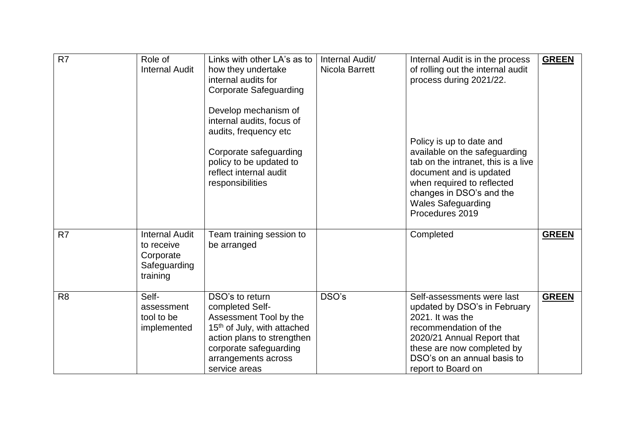| R <sub>7</sub> | Role of<br><b>Internal Audit</b>                                             | Links with other LA's as to<br>how they undertake<br>internal audits for<br><b>Corporate Safeguarding</b><br>Develop mechanism of<br>internal audits, focus of<br>audits, frequency etc<br>Corporate safeguarding<br>policy to be updated to<br>reflect internal audit<br>responsibilities | Internal Audit/<br>Nicola Barrett | Internal Audit is in the process<br>of rolling out the internal audit<br>process during 2021/22.<br>Policy is up to date and<br>available on the safeguarding<br>tab on the intranet, this is a live<br>document and is updated<br>when required to reflected<br>changes in DSO's and the<br><b>Wales Safeguarding</b><br>Procedures 2019 | <b>GREEN</b> |
|----------------|------------------------------------------------------------------------------|--------------------------------------------------------------------------------------------------------------------------------------------------------------------------------------------------------------------------------------------------------------------------------------------|-----------------------------------|-------------------------------------------------------------------------------------------------------------------------------------------------------------------------------------------------------------------------------------------------------------------------------------------------------------------------------------------|--------------|
| R <sub>7</sub> | <b>Internal Audit</b><br>to receive<br>Corporate<br>Safeguarding<br>training | Team training session to<br>be arranged                                                                                                                                                                                                                                                    |                                   | Completed                                                                                                                                                                                                                                                                                                                                 | <b>GREEN</b> |
| R <sub>8</sub> | Self-<br>assessment<br>tool to be<br>implemented                             | DSO's to return<br>completed Self-<br>Assessment Tool by the<br>15 <sup>th</sup> of July, with attached<br>action plans to strengthen<br>corporate safeguarding<br>arrangements across<br>service areas                                                                                    | DSO's                             | Self-assessments were last<br>updated by DSO's in February<br>2021. It was the<br>recommendation of the<br>2020/21 Annual Report that<br>these are now completed by<br>DSO's on an annual basis to<br>report to Board on                                                                                                                  | <b>GREEN</b> |